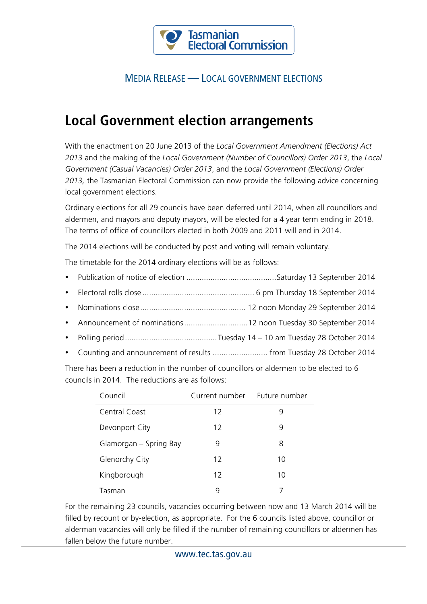

## MEDIA RELEASE — LOCAL GOVERNMENT ELECTIONS

## **Local Government election arrangements**

With the enactment on 20 June 2013 of the *Local Government Amendment (Elections) Act 2013* and the making of the *Local Government (Number of Councillors) Order 2013*, the *Local Government (Casual Vacancies) Order 2013*, and the *Local Government (Elections) Order 2013,* the Tasmanian Electoral Commission can now provide the following advice concerning local government elections.

Ordinary elections for all 29 councils have been deferred until 2014, when all councillors and aldermen, and mayors and deputy mayors, will be elected for a 4 year term ending in 2018. The terms of office of councillors elected in both 2009 and 2011 will end in 2014.

The 2014 elections will be conducted by post and voting will remain voluntary.

The timetable for the 2014 ordinary elections will be as follows:

- Publication of notice of election .........................................Saturday 13 September 2014
- Electoral rolls close ................................................... 6 pm Thursday 18 September 2014
- Nominations close................................................ 12 noon Monday 29 September 2014
- Announcement of nominations.............................12 noon Tuesday 30 September 2014
- Polling period..........................................Tuesday 14 10 am Tuesday 28 October 2014
- Counting and announcement of results ......................... from Tuesday 28 October 2014

There has been a reduction in the number of councillors or aldermen to be elected to 6 councils in 2014. The reductions are as follows:

| Council                | Current number Future number |    |
|------------------------|------------------------------|----|
| Central Coast          | 12                           | ч  |
| Devonport City         | 12                           | 9  |
| Glamorgan – Spring Bay | 9                            | 8  |
| Glenorchy City         | 12                           | 10 |
| Kingborough            | 12                           | 10 |
| Tasman                 | q                            |    |

For the remaining 23 councils, vacancies occurring between now and 13 March 2014 will be filled by recount or by-election, as appropriate. For the 6 councils listed above, councillor or alderman vacancies will only be filled if the number of remaining councillors or aldermen has fallen below the future number.